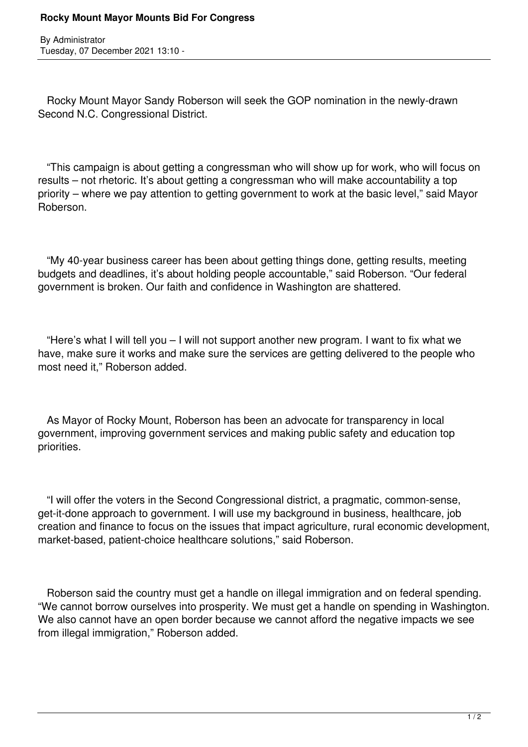By Administrator Tuesday, 07 December 2021 13:10 -

 Rocky Mount Mayor Sandy Roberson will seek the GOP nomination in the newly-drawn Second N.C. Congressional District.

 "This campaign is about getting a congressman who will show up for work, who will focus on results – not rhetoric. It's about getting a congressman who will make accountability a top priority – where we pay attention to getting government to work at the basic level," said Mayor Roberson.

 "My 40-year business career has been about getting things done, getting results, meeting budgets and deadlines, it's about holding people accountable," said Roberson. "Our federal government is broken. Our faith and confidence in Washington are shattered.

 "Here's what I will tell you – I will not support another new program. I want to fix what we have, make sure it works and make sure the services are getting delivered to the people who most need it," Roberson added.

 As Mayor of Rocky Mount, Roberson has been an advocate for transparency in local government, improving government services and making public safety and education top priorities.

 "I will offer the voters in the Second Congressional district, a pragmatic, common-sense, get-it-done approach to government. I will use my background in business, healthcare, job creation and finance to focus on the issues that impact agriculture, rural economic development, market-based, patient-choice healthcare solutions," said Roberson.

 Roberson said the country must get a handle on illegal immigration and on federal spending. "We cannot borrow ourselves into prosperity. We must get a handle on spending in Washington. We also cannot have an open border because we cannot afford the negative impacts we see from illegal immigration," Roberson added.